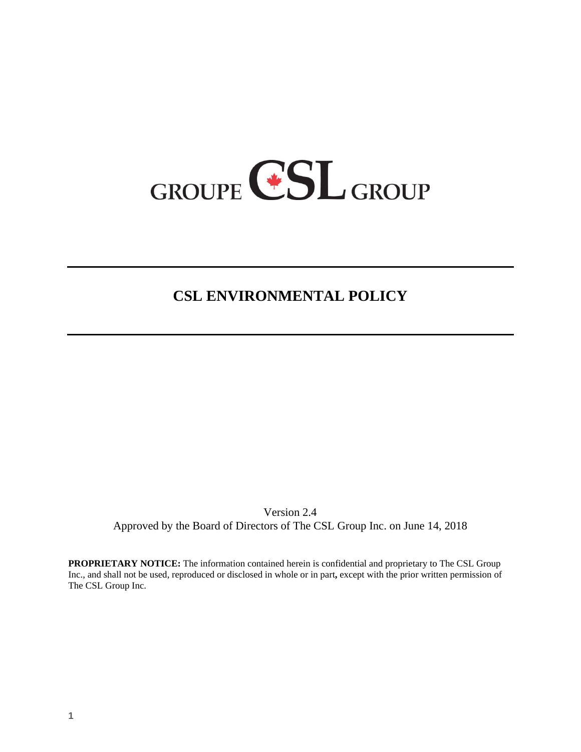

## **CSL ENVIRONMENTAL POLICY**

Version 2.4 Approved by the Board of Directors of The CSL Group Inc. on June 14, 2018

**PROPRIETARY NOTICE:** The information contained herein is confidential and proprietary to The CSL Group Inc., and shall not be used, reproduced or disclosed in whole or in part**,** except with the prior written permission of The CSL Group Inc.